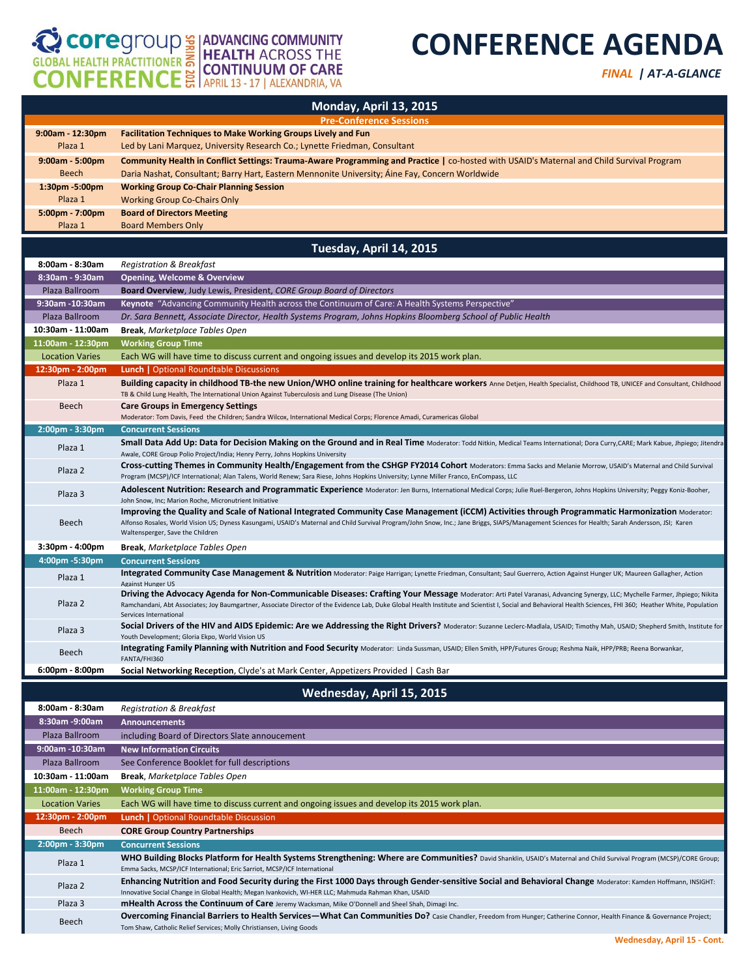## COPE COMPER ENCE EN ADVANCING COMMUNITY

## **CONFERENCE AGENDA**

*FINAL | AT-A-GLANCE* 

|                                            | Monday, April 13, 2015                                                                                                                                                                                                                                                                                                                                                                                               |
|--------------------------------------------|----------------------------------------------------------------------------------------------------------------------------------------------------------------------------------------------------------------------------------------------------------------------------------------------------------------------------------------------------------------------------------------------------------------------|
|                                            | <b>Pre-Conference Sessions</b>                                                                                                                                                                                                                                                                                                                                                                                       |
| $9:00am - 12:30pm$                         | <b>Facilitation Techniques to Make Working Groups Lively and Fun</b>                                                                                                                                                                                                                                                                                                                                                 |
| Plaza 1                                    | Led by Lani Marquez, University Research Co.; Lynette Friedman, Consultant                                                                                                                                                                                                                                                                                                                                           |
| $9:00am - 5:00pm$                          | Community Health in Conflict Settings: Trauma-Aware Programming and Practice   co-hosted with USAID's Maternal and Child Survival Program                                                                                                                                                                                                                                                                            |
| <b>Beech</b><br>$1:30pm - 5:00pm$          | Daria Nashat, Consultant; Barry Hart, Eastern Mennonite University; Aine Fay, Concern Worldwide<br><b>Working Group Co-Chair Planning Session</b>                                                                                                                                                                                                                                                                    |
| Plaza 1                                    | <b>Working Group Co-Chairs Only</b>                                                                                                                                                                                                                                                                                                                                                                                  |
| 5:00pm - 7:00pm                            | <b>Board of Directors Meeting</b>                                                                                                                                                                                                                                                                                                                                                                                    |
| Plaza 1                                    | <b>Board Members Only</b>                                                                                                                                                                                                                                                                                                                                                                                            |
|                                            | Tuesday, April 14, 2015                                                                                                                                                                                                                                                                                                                                                                                              |
| 8:00am - 8:30am                            | Registration & Breakfast                                                                                                                                                                                                                                                                                                                                                                                             |
| 8:30am - 9:30am                            | <b>Opening, Welcome &amp; Overview</b>                                                                                                                                                                                                                                                                                                                                                                               |
| Plaza Ballroom                             | <b>Board Overview</b> , Judy Lewis, President, CORE Group Board of Directors                                                                                                                                                                                                                                                                                                                                         |
| 9:30am -10:30am                            | Keynote "Advancing Community Health across the Continuum of Care: A Health Systems Perspective"                                                                                                                                                                                                                                                                                                                      |
| Plaza Ballroom                             | Dr. Sara Bennett, Associate Director, Health Systems Program, Johns Hopkins Bloomberg School of Public Health                                                                                                                                                                                                                                                                                                        |
| 10:30am - 11:00am                          | <b>Break, Marketplace Tables Open</b>                                                                                                                                                                                                                                                                                                                                                                                |
| 11:00am - 12:30pm                          | <b>Working Group Time</b>                                                                                                                                                                                                                                                                                                                                                                                            |
| <b>Location Varies</b><br>12:30pm - 2:00pm | Each WG will have time to discuss current and ongoing issues and develop its 2015 work plan.<br><b>Lunch   Optional Roundtable Discussions</b>                                                                                                                                                                                                                                                                       |
| Plaza 1                                    | Building capacity in childhood TB-the new Union/WHO online training for healthcare workers Anne Detjen, Health Specialist, Childhood TB, UNICEF and Consultant, Childhood<br>TB & Child Lung Health, The International Union Against Tuberculosis and Lung Disease (The Union)                                                                                                                                       |
| Beech                                      | <b>Care Groups in Emergency Settings</b>                                                                                                                                                                                                                                                                                                                                                                             |
|                                            | Moderator: Tom Davis, Feed the Children; Sandra Wilcox, International Medical Corps; Florence Amadi, Curamericas Global                                                                                                                                                                                                                                                                                              |
| $2:00$ pm - $3:30$ pm                      | <b>Concurrent Sessions</b><br>Small Data Add Up: Data for Decision Making on the Ground and in Real Time Moderator: Todd Nitkin, Medical Teams International; Dora Curry, CARE; Mark Kabue, Jhpiego; Jitendra                                                                                                                                                                                                        |
| Plaza 1                                    | Awale, CORE Group Polio Project/India; Henry Perry, Johns Hopkins University<br>Cross-cutting Themes in Community Health/Engagement from the CSHGP FY2014 Cohort Moderators: Emma Sacks and Melanie Morrow, USAID's Maternal and Child Survival                                                                                                                                                                      |
| Plaza 2                                    | Program (MCSP)/ICF International; Alan Talens, World Renew; Sara Riese, Johns Hopkins University; Lynne Miller Franco, EnCompass, LLC<br>Adolescent Nutrition: Research and Programmatic Experience Moderator: Jen Burns, International Medical Corps; Julie Ruel-Bergeron, Johns Hopkins University; Peggy Koniz-Booher,                                                                                            |
| Plaza 3                                    | John Snow, Inc; Marion Roche, Micronutrient Initiative<br>Improving the Quality and Scale of National Integrated Community Case Management (ICCM) Activities through Programmatic Harmonization Moderator:                                                                                                                                                                                                           |
| Beech                                      | Alfonso Rosales, World Vision US; Dyness Kasungami, USAID's Maternal and Child Survival Program/John Snow, Inc.; Jane Briggs, SIAPS/Management Sciences for Health; Sarah Andersson, JSI; Karen<br>Waltensperger, Save the Children                                                                                                                                                                                  |
| 3:30pm - 4:00pm                            | <b>Break, Marketplace Tables Open</b>                                                                                                                                                                                                                                                                                                                                                                                |
| 4:00pm -5:30pm                             | <b>Concurrent Sessions</b>                                                                                                                                                                                                                                                                                                                                                                                           |
| Plaza 1                                    | Integrated Community Case Management & Nutrition Moderator: Paige Harrigan; Lynette Friedman, Consultant; Saul Guerrero, Action Against Hunger UK; Maureen Gallagher, Action<br>Against Hunger US                                                                                                                                                                                                                    |
| Plaza 2                                    | Driving the Advocacy Agenda for Non-Communicable Diseases: Crafting Your Message Moderator: Arti Patel Varanasi, Advancing Synergy, LLC; Mychelle Farmer, Jhpiego; Nikita<br>Ramchandani, Abt Associates; Joy Baumgartner, Associate Director of the Evidence Lab, Duke Global Health Institute and Scientist I, Social and Behavioral Health Sciences, FHI 360; Heather White, Population<br>Services International |
| Plaza 3                                    | Social Drivers of the HIV and AIDS Epidemic: Are we Addressing the Right Drivers? Moderator: Suzanne Leclerc-Madlala, USAID; Timothy Mah, USAID; Shepherd Smith, Institute for<br>Youth Development; Gloria Ekpo, World Vision US                                                                                                                                                                                    |
| Beech                                      | Integrating Family Planning with Nutrition and Food Security Moderator: Linda Sussman, USAID; Ellen Smith, HPP/Futures Group; Reshma Naik, HPP/PRB; Reena Borwankar,<br>FANTA/FHI360                                                                                                                                                                                                                                 |
| $6:00 \text{pm} - 8:00 \text{pm}$          | Social Networking Reception, Clyde's at Mark Center, Appetizers Provided   Cash Bar                                                                                                                                                                                                                                                                                                                                  |
|                                            | Wednesday, April 15, 2015                                                                                                                                                                                                                                                                                                                                                                                            |
| 8:00am - 8:30am                            | Registration & Breakfast                                                                                                                                                                                                                                                                                                                                                                                             |
| 8:30am -9:00am                             | <b>Announcements</b>                                                                                                                                                                                                                                                                                                                                                                                                 |
| Plaza Ballroom                             | including Board of Directors Slate annoucement                                                                                                                                                                                                                                                                                                                                                                       |
| 9:00am -10:30am                            | <b>New Information Circuits</b>                                                                                                                                                                                                                                                                                                                                                                                      |
| Plaza Ballroom                             | See Conference Booklet for full descriptions                                                                                                                                                                                                                                                                                                                                                                         |
| 10:30am - 11:00am                          | <b>Break, Marketplace Tables Open</b>                                                                                                                                                                                                                                                                                                                                                                                |
| 11:00am - 12:30pm                          | <b>Working Group Time</b>                                                                                                                                                                                                                                                                                                                                                                                            |
| <b>Location Varies</b><br>12:30pm - 2:00pm | Each WG will have time to discuss current and ongoing issues and develop its 2015 work plan.<br><b>Lunch</b>   Optional Roundtable Discussion                                                                                                                                                                                                                                                                        |
| Beech                                      | <b>CORE Group Country Partnerships</b>                                                                                                                                                                                                                                                                                                                                                                               |
| $2:00$ pm - $3:30$ pm                      | <b>Concurrent Sessions</b>                                                                                                                                                                                                                                                                                                                                                                                           |
| Plaza 1                                    | WHO Building Blocks Platform for Health Systems Strengthening: Where are Communities? David Shanklin, USAID's Maternal and Child Survival Program (MCSP)/CORE Group;<br>Emma Sacks, MCSP/ICF International; Eric Sarriot, MCSP/ICF International                                                                                                                                                                     |
| Plaza 2                                    | Enhancing Nutrition and Food Security during the First 1000 Days through Gender-sensitive Social and Behavioral Change Moderator: Kamden Hoffmann, INSIGHT:                                                                                                                                                                                                                                                          |
| Plaza 3                                    | Innovative Social Change in Global Health; Megan Ivankovich, WI-HER LLC; Mahmuda Rahman Khan, USAID<br><b>mHealth Across the Continuum of Care</b> Jeremy Wacksman, Mike O'Donnell and Sheel Shah, Dimagi Inc.                                                                                                                                                                                                       |
|                                            | Overcoming Financial Barriers to Health Services-What Can Communities Do? Casie Chandler, Freedom from Hunger; Catherine Connor, Health Finance & Governance Project;                                                                                                                                                                                                                                                |
| Beech                                      | Tom Shaw, Catholic Relief Services; Molly Christiansen, Living Goods                                                                                                                                                                                                                                                                                                                                                 |